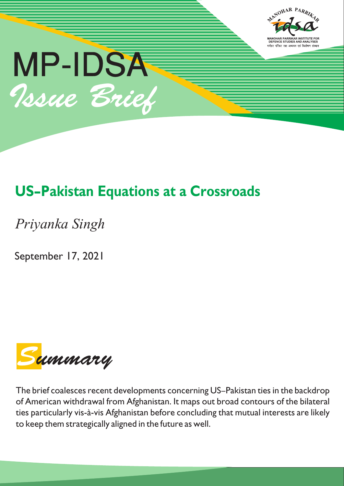

# **US–Pakistan Equations at a Crossroads**

*Priyanka Singh*

September 17, 2021



The brief coalesces recent developments concerning US–Pakistan ties in the backdrop of American withdrawal from Afghanistan. It maps out broad contours of the bilateral ties particularly vis-à-vis Afghanistan before concluding that mutual interests are likely to keep them strategically aligned in the future as well.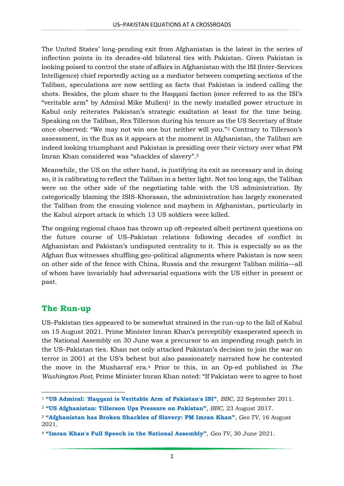The United States' long-pending exit from Afghanistan is the latest in the series of inflection points in its decades-old bilateral ties with Pakistan. Given Pakistan is looking poised to control the state of affairs in Afghanistan with the ISI (Inter-Services Intelligence) chief reportedly acting as a mediator between competing sections of the Taliban, speculations are now settling as facts that Pakistan is indeed calling the shots. Besides, the plum share to the Haqqani faction (once referred to as the ISI's "veritable arm" by Admiral Mike Mullen $]$ <sup>1</sup> in the newly installed power structure in Kabul only reiterates Pakistan's strategic exaltation at least for the time being. Speaking on the Taliban, Rex Tillerson during his tenure as the US Secretary of State once observed: "We may not win one but neither will you."<sup>2</sup> Contrary to Tillerson's assessment, in the flux as it appears at the moment in Afghanistan, the Taliban are indeed looking triumphant and Pakistan is presiding over their victory over what PM Imran Khan considered was "shackles of slavery". 3

Meanwhile, the US on the other hand, is justifying its exit as necessary and in doing so, it is calibrating to reflect the Taliban in a better light. Not too long ago, the Taliban were on the other side of the negotiating table with the US administration. By categorically blaming the ISIS-Khorasan, the administration has largely exonerated the Taliban from the ensuing violence and mayhem in Afghanistan, particularly in the Kabul airport attack in which 13 US soldiers were killed.

The ongoing regional chaos has thrown up oft-repeated albeit pertinent questions on the future course of US–Pakistan relations following decades of conflict in Afghanistan and Pakistan's undisputed centrality to it. This is especially so as the Afghan flux witnesses shuffling geo-political alignments where Pakistan is now seen on other side of the fence with China, Russia and the resurgent Taliban militia—all of whom have invariably had adversarial equations with the US either in present or past.

# **The Run-up**

**.** 

US–Pakistan ties appeared to be somewhat strained in the run-up to the fall of Kabul on 15 August 2021. Prime Minister Imran Khan's perceptibly exasperated speech in the National Assembly on 30 June was a precursor to an impending rough patch in the US–Pakistan ties. Khan not only attacked Pakistan's decision to join the war on terror in 2001 at the US's behest but also passionately narrated how he contested the move in the Musharraf era.<sup>4</sup> Prior to this, in an Op-ed published in *The Washington Post*, Prime Minister Imran Khan noted: "If Pakistan were to agree to host

<sup>1</sup> **"[US Admiral: 'Haqqani is Veritable A](https://www.bbc.com/news/av/world-us-canada-15026909)rm of Pakistan's ISI"**, *BBC*, 22 September 2011.

<sup>2</sup> **["US Afghanistan: Tillerson](http://www.bbc.com/news/world-us-canada-41019114) Ups Pressure on Pakistan"**, *BBC*, 23 August 2017.

<sup>3</sup> **"Afghanistan has Broken Shackles of S[lavery: PM Imran Khan"](https://www.geo.tv/latest/365546-afghanistan-has-broken-shackles-of-slavery-pm-imran-khan)**, *Geo TV*, 16 August 2021.

<sup>4</sup> **"[Imran Khan's Full Speech in the National Assembly](https://www.geo.tv/latest/357756-watch-pm-imran-khans-full-speech-in-the-national-assembly)"**, *Geo TV*, 30 June 2021.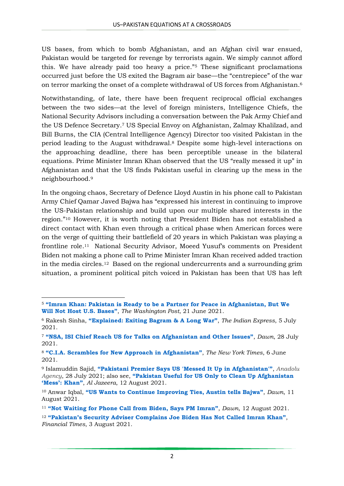US bases, from which to bomb Afghanistan, and an Afghan civil war ensued, Pakistan would be targeted for revenge by terrorists again. We simply cannot afford this. We have already paid too heavy a price."<sup>5</sup> These significant proclamations occurred just before the US exited the Bagram air base—the "centrepiece" of the war on terror marking the onset of a complete withdrawal of US forces from Afghanistan.<sup>6</sup>

Notwithstanding, of late, there have been frequent reciprocal official exchanges between the two sides—at the level of foreign ministers, Intelligence Chiefs, the National Security Advisors including a conversation between the Pak Army Chief and the US Defence Secretary. <sup>7</sup> US Special Envoy on Afghanistan, Zalmay Khalilzad, and Bill Burns, the CIA (Central Intelligence Agency) Director too visited Pakistan in the period leading to the August withdrawal.<sup>8</sup> Despite some high-level interactions on the approaching deadline, there has been perceptible unease in the bilateral equations. Prime Minister Imran Khan observed that the US "really messed it up" in Afghanistan and that the US finds Pakistan useful in clearing up the mess in the neighbourhood.<sup>9</sup>

In the ongoing chaos, Secretary of Defence Lloyd Austin in his phone call to Pakistan Army Chief Qamar Javed Bajwa has "expressed his interest in continuing to improve the US-Pakistan relationship and build upon our multiple shared interests in the region."<sup>10</sup> However, it is worth noting that President Biden has not established a direct contact with Khan even through a critical phase when American forces were on the verge of quitting their battlefield of 20 years in which Pakistan was playing a frontline role. <sup>11</sup> National Security Advisor, Moeed Yusuf's comments on President Biden not making a phone call to Prime Minister Imran Khan received added traction in the media circles.<sup>12</sup> Based on the regional undercurrents and a surrounding grim situation, a prominent political pitch voiced in Pakistan has been that US has left

**.** 

<sup>5</sup> **"Imran Khan: Pakistan is [Ready to be a Partner for Peace in Afghanistan, But We](https://www.washingtonpost.com/opinions/2021/06/21/afghanistan-pakistan-imran-khan-peace-security-cooperation-us/)  [Will Not Host U.S. B](https://www.washingtonpost.com/opinions/2021/06/21/afghanistan-pakistan-imran-khan-peace-security-cooperation-us/)ases"**, *The Washington Post*, 21 June 2021.

<sup>6</sup> Rakesh Sinha, **["Explained: Exiting Bagram &](https://indianexpress.com/article/explained/explained-exiting-bagram-a-long-war-7388990/) A Long War"**, *The Indian Express*, 5 July 2021.

<sup>7</sup> **"NSA, ISI [Chief Reach US for Talks on Afghanistan and Other I](https://www.dawn.com/news/1637362/nsa-isi-chief-reach-us-for-talks-on-afghanistan-other-issues)ssues"**, *Dawn*, 28 July 2021.

<sup>8</sup> **"[C.I.A. Scrambles for New Approach in](https://www.nytimes.com/2021/06/06/us/politics/cia-afghanistan-pakistan.html) Afghanistan"**, *The New York Times*, 6 June 2021.

<sup>9</sup> Islamuddin Sajid, **"Pakistani [Premier Says US 'Messed It U](https://www.aa.com.tr/en/asia-pacific/pakistani-premier-says-us-messed-it-up-in-afghanistan/2316812)p in Afghanistan'"**, *[Anadolu](https://www.aa.com.tr/en/p/subscription/1001)  [Agency](https://www.aa.com.tr/en/p/subscription/1001)*, 28 July 2021; also see, **"Pakistan [Useful for US Only to Clean Up Afghanistan](https://www.aljazeera.com/news/2021/8/12/pakistan-imran-khan-afghanistan-mess-taliban)  'M[ess': Khan"](https://www.aljazeera.com/news/2021/8/12/pakistan-imran-khan-afghanistan-mess-taliban)**, *Al Jazeera*, 12 August 2021.

<sup>10</sup> Anwar Iqbal, **"US [Wants to Continue Improving T](https://www.dawn.com/news/1639938)ies, Austin tells Bajwa"**, *Dawn*, 11 August 2021.

<sup>11</sup> **"Not [Waiting for Phone Call from Biden, S](https://www.dawn.com/news/1640265/)ays PM Imran"**, *Dawn*, 12 August 2021.

<sup>12</sup> **"Pakistan's [Security Adviser Complains Joe Biden Has Not C](https://www.ft.com/content/f3d50eb9-5b2f-4472-ad7e-1a216e8e9ae1)alled Imran Khan"**, *Financial Times*, 3 August 2021.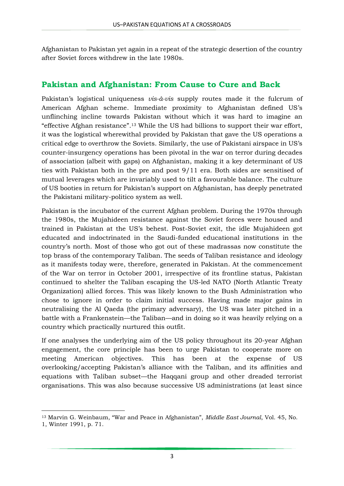Afghanistan to Pakistan yet again in a repeat of the strategic desertion of the country after Soviet forces withdrew in the late 1980s.

#### **Pakistan and Afghanistan: From Cause to Cure and Back**

Pakistan's logistical uniqueness *vis-à-vis* supply routes made it the fulcrum of American Afghan scheme. Immediate proximity to Afghanistan defined US's unflinching incline towards Pakistan without which it was hard to imagine an "effective Afghan resistance". <sup>13</sup> While the US had billions to support their war effort, it was the logistical wherewithal provided by Pakistan that gave the US operations a critical edge to overthrow the Soviets. Similarly, the use of Pakistani airspace in US's counter-insurgency operations has been pivotal in the war on terror during decades of association (albeit with gaps) on Afghanistan, making it a key determinant of US ties with Pakistan both in the pre and post 9/11 era. Both sides are sensitised of mutual leverages which are invariably used to tilt a favourable balance. The culture of US booties in return for Pakistan's support on Afghanistan, has deeply penetrated the Pakistani military-politico system as well.

Pakistan is the incubator of the current Afghan problem. During the 1970s through the 1980s, the Mujahideen resistance against the Soviet forces were housed and trained in Pakistan at the US's behest. Post-Soviet exit, the idle Mujahideen got educated and indoctrinated in the Saudi-funded educational institutions in the country's north. Most of those who got out of these madrassas now constitute the top brass of the contemporary Taliban. The seeds of Taliban resistance and ideology as it manifests today were, therefore, generated in Pakistan. At the commencement of the War on terror in October 2001, irrespective of its frontline status, Pakistan continued to shelter the Taliban escaping the US-led NATO (North Atlantic Treaty Organization) allied forces. This was likely known to the Bush Administration who chose to ignore in order to claim initial success. Having made major gains in neutralising the Al Qaeda (the primary adversary), the US was later pitched in a battle with a Frankenstein—the Taliban—and in doing so it was heavily relying on a country which practically nurtured this outfit.

If one analyses the underlying aim of the US policy throughout its 20-year Afghan engagement, the core principle has been to urge Pakistan to cooperate more on meeting American objectives. This has been at the expense of US overlooking/accepting Pakistan's alliance with the Taliban, and its affinities and equations with Taliban subset—the Haqqani group and other dreaded terrorist organisations. This was also because successive US administrations (at least since

**.** 

<sup>13</sup> Marvin G. Weinbaum, "War and Peace in Afghanistan", *Middle East Journal*, Vol. 45, No.

<sup>1,</sup> Winter 1991, p. 71.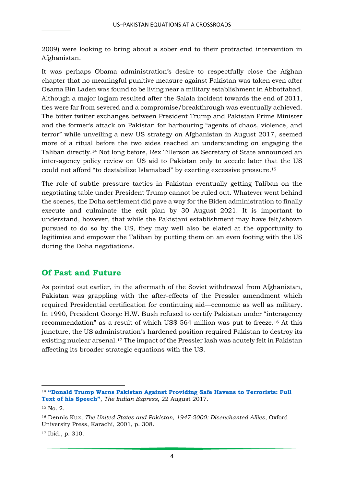2009) were looking to bring about a sober end to their protracted intervention in Afghanistan.

It was perhaps Obama administration's desire to respectfully close the Afghan chapter that no meaningful punitive measure against Pakistan was taken even after Osama Bin Laden was found to be living near a military establishment in Abbottabad. Although a major logjam resulted after the Salala incident towards the end of 2011, ties were far from severed and a compromise/breakthrough was eventually achieved. The bitter twitter exchanges between President Trump and Pakistan Prime Minister and the former's attack on Pakistan for harbouring "agents of chaos, violence, and terror" while unveiling a new US strategy on Afghanistan in August 2017, seemed more of a ritual before the two sides reached an understanding on engaging the Taliban directly. <sup>14</sup> Not long before, Rex Tillerson as Secretary of State announced an inter-agency policy review on US aid to Pakistan only to accede later that the US could not afford "to destabilize Islamabad" by exerting excessive pressure. 15

The role of subtle pressure tactics in Pakistan eventually getting Taliban on the negotiating table under President Trump cannot be ruled out. Whatever went behind the scenes, the Doha settlement did pave a way for the Biden administration to finally execute and culminate the exit plan by 30 August 2021. It is important to understand, however, that while the Pakistani establishment may have felt/shown pursued to do so by the US, they may well also be elated at the opportunity to legitimise and empower the Taliban by putting them on an even footing with the US during the Doha negotiations.

# **Of Past and Future**

As pointed out earlier, in the aftermath of the Soviet withdrawal from Afghanistan, Pakistan was grappling with the after-effects of the Pressler amendment which required Presidential certification for continuing aid—economic as well as military. In 1990, President George H.W. Bush refused to certify Pakistan under "interagency recommendation" as a result of which US\$ 564 million was put to freeze.<sup>16</sup> At this juncture, the US administration's hardened position required Pakistan to destroy its existing nuclear arsenal.<sup>17</sup> The impact of the Pressler lash was acutely felt in Pakistan affecting its broader strategic equations with the US.

**.** 

<sup>14</sup> **"[Donald Trump Warns Pakistan Against Providing Safe Havens to Terrorists: Full](https://indianexpress.com/article/world/donald-trump-warns-pakistan-against-providing-safe-havens-to-terrorists-full-text-of-his-speech-4807877/)  [Text of his Speech](https://indianexpress.com/article/world/donald-trump-warns-pakistan-against-providing-safe-havens-to-terrorists-full-text-of-his-speech-4807877/)"**, *The Indian Express*, 22 August 2017.

<sup>15</sup> No. 2.

<sup>16</sup> Dennis Kux, *The United States and Pakistan, 1947-2000: Disenchanted Allies*, Oxford University Press, Karachi, 2001, p. 308.

<sup>17</sup> Ibid., p. 310.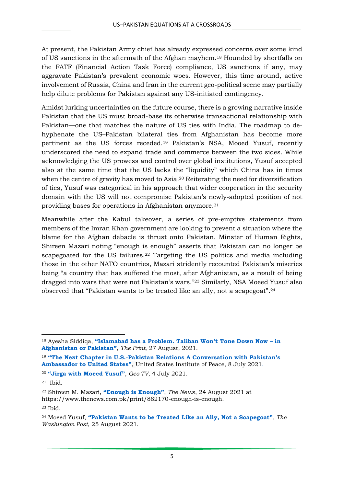At present, the Pakistan Army chief has already expressed concerns over some kind of US sanctions in the aftermath of the Afghan mayhem.<sup>18</sup> Hounded by shortfalls on the FATF (Financial Action Task Force) compliance, US sanctions if any, may aggravate Pakistan's prevalent economic woes. However, this time around, active involvement of Russia, China and Iran in the current geo-political scene may partially help dilute problems for Pakistan against any US-initiated contingency.

Amidst lurking uncertainties on the future course, there is a growing narrative inside Pakistan that the US must broad-base its otherwise transactional relationship with Pakistan—one that matches the nature of US ties with India. The roadmap to dehyphenate the US–Pakistan bilateral ties from Afghanistan has become more pertinent as the US forces receded.<sup>19</sup> Pakistan's NSA, Mooed Yusuf, recently underscored the need to expand trade and commerce between the two sides. While acknowledging the US prowess and control over global institutions, Yusuf accepted also at the same time that the US lacks the "liquidity" which China has in times when the centre of gravity has moved to Asia. <sup>20</sup> Reiterating the need for diversification of ties, Yusuf was categorical in his approach that wider cooperation in the security domain with the US will not compromise Pakistan's newly-adopted position of not providing bases for operations in Afghanistan anymore.<sup>21</sup>

Meanwhile after the Kabul takeover, a series of pre-emptive statements from members of the Imran Khan government are looking to prevent a situation where the blame for the Afghan debacle is thrust onto Pakistan. Minster of Human Rights, Shireen Mazari noting "enough is enough" asserts that Pakistan can no longer be scapegoated for the US failures.<sup>22</sup> Targeting the US politics and media including those in the other NATO countries, Mazari stridently recounted Pakistan's miseries being "a country that has suffered the most, after Afghanistan, as a result of being dragged into wars that were not Pakistan's wars."<sup>23</sup> Similarly, NSA Moeed Yusuf also observed that "Pakistan wants to be treated like an ally, not a scapegoat". 24

**<sup>.</sup>** <sup>18</sup> Ayesha Siddiqa, **"[Islamabad has a Problem. Taliban W](https://theprint.in/opinion/islamabad-has-a-problem-taliban-wont-tone-down-now-in-afghanistan-or-pakistan/722562/)on't Tone Down Now – in [Afghanistan or Pakistan](https://theprint.in/opinion/islamabad-has-a-problem-taliban-wont-tone-down-now-in-afghanistan-or-pakistan/722562/)"**, *The Print*, 27 August, 2021.

<sup>19</sup> **"The Next Chapter in U.S.-[Pakistan Relations A Conversation with Pakistan's](https://www.youtube.com/watch?v=FsjCowzbTow)  [Ambassador to United States](https://www.youtube.com/watch?v=FsjCowzbTow)"**, United States Institute of Peace, 8 July 2021.

<sup>20</sup> **"[Jirga with Moeed Yusuf](https://www.youtube.com/watch?v=RsI8gfis7Us)"**, *Geo TV*, 4 July 2021.

<sup>21</sup> Ibid.

<sup>22</sup> Shireen M. Mazari, **"[Enough is Enough](https://www.thenews.com.pk/print/882170-enough-is-enough)"**, *The News*, 24 August 2021 at https://www.thenews.com.pk/print/882170-enough-is-enough.

<sup>23</sup> Ibid.

<sup>24</sup> Moeed Yusuf, **"[Pakistan Wants to be Treated Like](https://www.washingtonpost.com/opinions/2021/08/25/pakistan-wants-be-treated-like-an-ally-not-scapegoat/) an Ally, Not a Scapegoat"**, *The Washington Post*, 25 August 2021.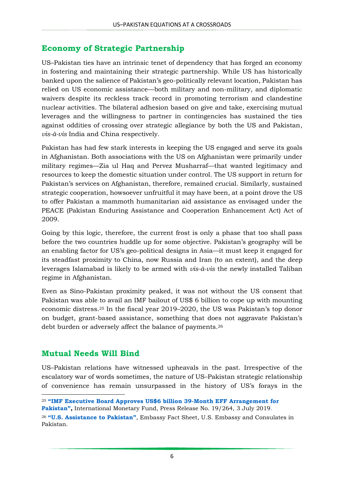### **Economy of Strategic Partnership**

US–Pakistan ties have an intrinsic tenet of dependency that has forged an economy in fostering and maintaining their strategic partnership. While US has historically banked upon the salience of Pakistan's geo-politically relevant location, Pakistan has relied on US economic assistance—both military and non-military, and diplomatic waivers despite its reckless track record in promoting terrorism and clandestine nuclear activities. The bilateral adhesion based on give and take, exercising mutual leverages and the willingness to partner in contingencies has sustained the ties against oddities of crossing over strategic allegiance by both the US and Pakistan, *vis-à-vis* India and China respectively.

Pakistan has had few stark interests in keeping the US engaged and serve its goals in Afghanistan. Both associations with the US on Afghanistan were primarily under military regimes—Zia ul Haq and Pervez Musharraf—that wanted legitimacy and resources to keep the domestic situation under control. The US support in return for Pakistan's services on Afghanistan, therefore, remained crucial. Similarly, sustained strategic cooperation, howsoever unfruitful it may have been, at a point drove the US to offer Pakistan a mammoth humanitarian aid assistance as envisaged under the PEACE (Pakistan Enduring Assistance and Cooperation Enhancement Act) Act of 2009.

Going by this logic, therefore, the current frost is only a phase that too shall pass before the two countries huddle up for some objective. Pakistan's geography will be an enabling factor for US's geo-political designs in Asia—it must keep it engaged for its steadfast proximity to China, now Russia and Iran (to an extent), and the deep leverages Islamabad is likely to be armed with *vis-à-vis* the newly installed Taliban regime in Afghanistan.

Even as Sino-Pakistan proximity peaked, it was not without the US consent that Pakistan was able to avail an IMF bailout of US\$ 6 billion to cope up with mounting economic distress.<sup>25</sup> In the fiscal year 2019–2020, the US was Pakistan's top donor on budget, grant-based assistance, something that does not aggravate Pakistan's debt burden or adversely affect the balance of payments. 26

#### **Mutual Needs Will Bind**

1

US–Pakistan relations have witnessed upheavals in the past. Irrespective of the escalatory war of words sometimes, the nature of US–Pakistan strategic relationship of convenience has remain unsurpassed in the history of US's forays in the

<sup>25</sup> **"[IMF Executive Board Approves US\\$6 billion 39-Month EFF Arrangement for](https://www.imf.org/en/News/Articles/2019/07/03/pr19264-pakistan-imf-executive-board-approves-39-month-eff-arrangement)** 

**[Pakistan](https://www.imf.org/en/News/Articles/2019/07/03/pr19264-pakistan-imf-executive-board-approves-39-month-eff-arrangement)",** International Monetary Fund, Press Release No. 19/264, 3 July 2019.

<sup>26</sup> **"[U.S. Assistance to Pakistan](https://pk.usembassy.gov/our-relationship/policy-history/us-assistance-to-pakistan/#:~:text=During%20Pakistan)"**, Embassy Fact Sheet, U.S. Embassy and Consulates in Pakistan.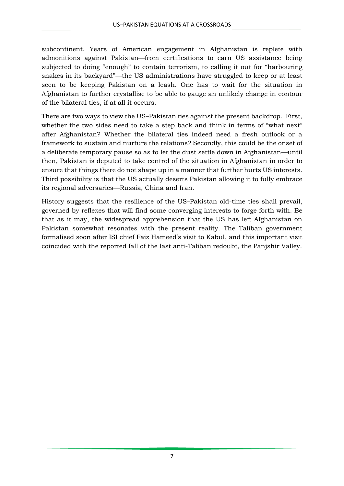subcontinent. Years of American engagement in Afghanistan is replete with admonitions against Pakistan—from certifications to earn US assistance being subjected to doing "enough" to contain terrorism, to calling it out for "harbouring snakes in its backyard"—the US administrations have struggled to keep or at least seen to be keeping Pakistan on a leash. One has to wait for the situation in Afghanistan to further crystallise to be able to gauge an unlikely change in contour of the bilateral ties, if at all it occurs.

There are two ways to view the US–Pakistan ties against the present backdrop. First, whether the two sides need to take a step back and think in terms of "what next" after Afghanistan? Whether the bilateral ties indeed need a fresh outlook or a framework to sustain and nurture the relations? Secondly, this could be the onset of a deliberate temporary pause so as to let the dust settle down in Afghanistan—until then, Pakistan is deputed to take control of the situation in Afghanistan in order to ensure that things there do not shape up in a manner that further hurts US interests. Third possibility is that the US actually deserts Pakistan allowing it to fully embrace its regional adversaries—Russia, China and Iran.

History suggests that the resilience of the US–Pakistan old-time ties shall prevail, governed by reflexes that will find some converging interests to forge forth with. Be that as it may, the widespread apprehension that the US has left Afghanistan on Pakistan somewhat resonates with the present reality. The Taliban government formalised soon after ISI chief Faiz Hameed's visit to Kabul, and this important visit coincided with the reported fall of the last anti-Taliban redoubt, the Panjshir Valley.